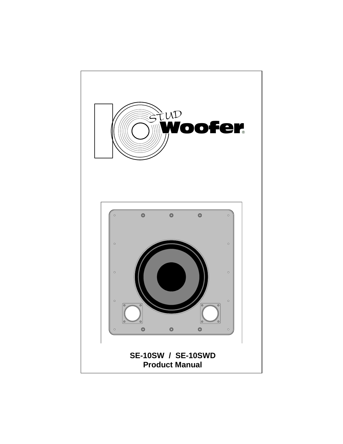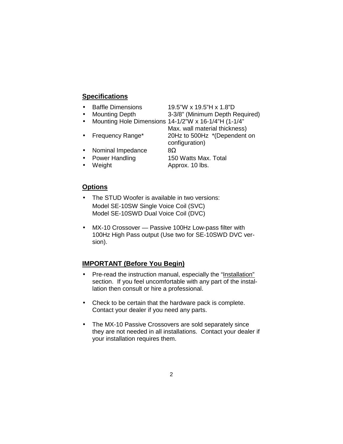## **Specifications**

- Baffle Dimensions 19.5"W x 19.5"H x 1.8"D
- 
- Mounting Depth 3-3/8" (Minimum Depth Required)

configuration)

- Mounting Hole Dimensions 14-1/2"W x 16-1/4"H (1-1/4" Max. wall material thickness)
- Frequency Range\* 20Hz to 500Hz \*(Dependent on
- 
- Nominal Impedance  $8\Omega$
- 

• Power Handling 150 Watts Max. Total • Weight **Approx. 10 lbs.** 

- **Options**
- The STUD Woofer is available in two versions: Model SE-10SW Single Voice Coil (SVC) Model SE-10SWD Dual Voice Coil (DVC)
- MX-10 Crossover Passive 100Hz Low-pass filter with 100Hz High Pass output (Use two for SE-10SWD DVC version).

# **IMPORTANT (Before You Begin)**

- Pre-read the instruction manual, especially the "Installation" section. If you feel uncomfortable with any part of the installation then consult or hire a professional.
- Check to be certain that the hardware pack is complete. Contact your dealer if you need any parts.
- The MX-10 Passive Crossovers are sold separately since they are not needed in all installations. Contact your dealer if your installation requires them.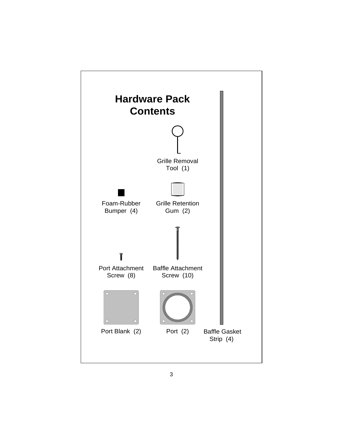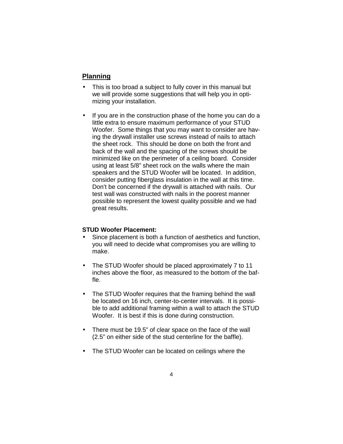# **Planning**

- This is too broad a subject to fully cover in this manual but we will provide some suggestions that will help you in optimizing your installation.
- If you are in the construction phase of the home you can do a little extra to ensure maximum performance of your STUD Woofer. Some things that you may want to consider are having the drywall installer use screws instead of nails to attach the sheet rock. This should be done on both the front and back of the wall and the spacing of the screws should be minimized like on the perimeter of a ceiling board. Consider using at least 5/8" sheet rock on the walls where the main speakers and the STUD Woofer will be located. In addition, consider putting fiberglass insulation in the wall at this time. Don't be concerned if the drywall is attached with nails. Our test wall was constructed with nails in the poorest manner possible to represent the lowest quality possible and we had great results.

### **STUD Woofer Placement:**

- Since placement is both a function of aesthetics and function, you will need to decide what compromises you are willing to make.
- The STUD Woofer should be placed approximately 7 to 11 inches above the floor, as measured to the bottom of the baffle.
- The STUD Woofer requires that the framing behind the wall be located on 16 inch, center-to-center intervals. It is possible to add additional framing within a wall to attach the STUD Woofer. It is best if this is done during construction.
- There must be 19.5" of clear space on the face of the wall (2.5" on either side of the stud centerline for the baffle).
- The STUD Woofer can be located on ceilings where the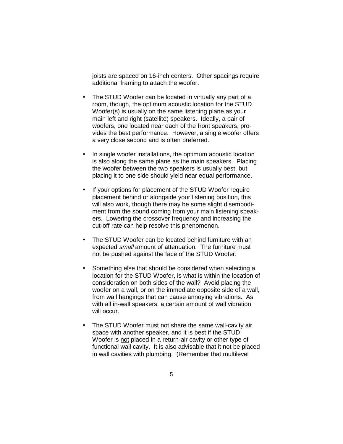joists are spaced on 16-inch centers. Other spacings require additional framing to attach the woofer.

- The STUD Woofer can be located in virtually any part of a room, though, the optimum acoustic location for the STUD Woofer(s) is usually on the same listening plane as your main left and right (satellite) speakers. Ideally, a pair of woofers, one located near each of the front speakers, provides the best performance. However, a single woofer offers a very close second and is often preferred.
- In single woofer installations, the optimum acoustic location is also along the same plane as the main speakers. Placing the woofer between the two speakers is usually best, but placing it to one side should yield near equal performance.
- If your options for placement of the STUD Woofer require placement behind or alongside your listening position, this will also work, though there may be some slight disembodiment from the sound coming from your main listening speakers. Lowering the crossover frequency and increasing the cut-off rate can help resolve this phenomenon.
- The STUD Woofer can be located behind furniture with an expected small amount of attenuation. The furniture must not be pushed against the face of the STUD Woofer.
- Something else that should be considered when selecting a location for the STUD Woofer, is what is within the location of consideration on both sides of the wall? Avoid placing the woofer on a wall, or on the immediate opposite side of a wall, from wall hangings that can cause annoying vibrations. As with all in-wall speakers, a certain amount of wall vibration will occur.
- The STUD Woofer must not share the same wall-cavity air space with another speaker, and it is best if the STUD Woofer is not placed in a return-air cavity or other type of functional wall cavity. It is also advisable that it not be placed in wall cavities with plumbing. (Remember that multilevel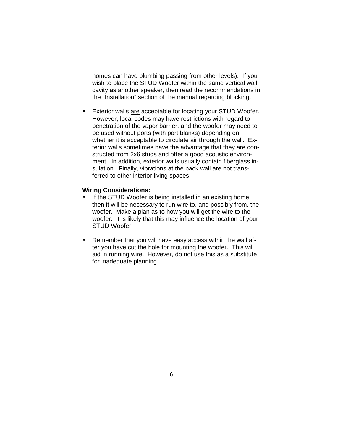homes can have plumbing passing from other levels). If you wish to place the STUD Woofer within the same vertical wall cavity as another speaker, then read the recommendations in the "Installation" section of the manual regarding blocking.

• Exterior walls are acceptable for locating your STUD Woofer. However, local codes may have restrictions with regard to penetration of the vapor barrier, and the woofer may need to be used without ports (with port blanks) depending on whether it is acceptable to circulate air through the wall. Exterior walls sometimes have the advantage that they are constructed from 2x6 studs and offer a good acoustic environment. In addition, exterior walls usually contain fiberglass insulation. Finally, vibrations at the back wall are not transferred to other interior living spaces.

#### **Wiring Considerations:**

- If the STUD Woofer is being installed in an existing home then it will be necessary to run wire to, and possibly from, the woofer. Make a plan as to how you will get the wire to the woofer. It is likely that this may influence the location of your STUD Woofer.
- Remember that you will have easy access within the wall after you have cut the hole for mounting the woofer. This will aid in running wire. However, do not use this as a substitute for inadequate planning.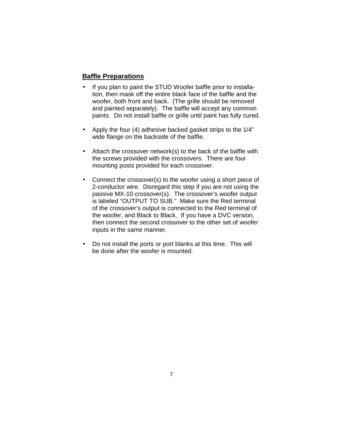## **Baffle Preparations**

- If you plan to paint the STUD Woofer baffle prior to installation, then mask off the entire black face of the baffle and the woofer, both front and back. (The grille should be removed and painted separately). The baffle will accept any common paints. Do not install baffle or grille until paint has fully cured.
- Apply the four (4) adhesive backed gasket strips to the 1/4" wide flange on the backside of the baffle.
- Attach the crossover network(s) to the back of the baffle with the screws provided with the crossovers. There are four mounting posts provided for each crossover.
- Connect the crossover(s) to the woofer using a short piece of 2-conductor wire. Disregard this step if you are not using the passive MX-10 crossover(s). The crossover's woofer output is labeled "OUTPUT TO SUB." Make sure the Red terminal of the crossover's output is connected to the Red terminal of the woofer, and Black to Black. If you have a DVC version, then connect the second crossover to the other set of woofer inputs in the same manner.
- Do not install the ports or port blanks at this time. This will be done after the woofer is mounted.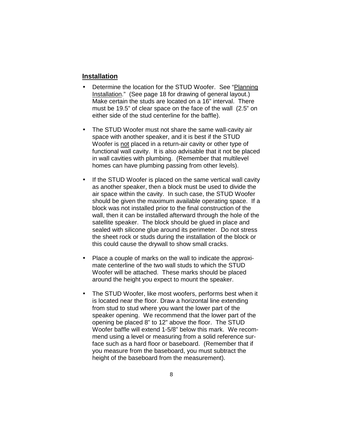### **Installation**

- Determine the location for the STUD Woofer. See "Planning Installation." (See page 18 for drawing of general layout.) Make certain the studs are located on a 16" interval. There must be 19.5" of clear space on the face of the wall (2.5" on either side of the stud centerline for the baffle).
- The STUD Woofer must not share the same wall-cavity air space with another speaker, and it is best if the STUD Woofer is not placed in a return-air cavity or other type of functional wall cavity. It is also advisable that it not be placed in wall cavities with plumbing. (Remember that multilevel homes can have plumbing passing from other levels).
- If the STUD Woofer is placed on the same vertical wall cavity as another speaker, then a block must be used to divide the air space within the cavity. In such case, the STUD Woofer should be given the maximum available operating space. If a block was not installed prior to the final construction of the wall, then it can be installed afterward through the hole of the satellite speaker. The block should be glued in place and sealed with silicone glue around its perimeter. Do not stress the sheet rock or studs during the installation of the block or this could cause the drywall to show small cracks.
- Place a couple of marks on the wall to indicate the approximate centerline of the two wall studs to which the STUD Woofer will be attached. These marks should be placed around the height you expect to mount the speaker.
- The STUD Woofer, like most woofers, performs best when it is located near the floor. Draw a horizontal line extending from stud to stud where you want the lower part of the speaker opening. We recommend that the lower part of the opening be placed 8" to 12" above the floor. The STUD Woofer baffle will extend 1-5/8" below this mark. We recommend using a level or measuring from a solid reference surface such as a hard floor or baseboard. (Remember that if you measure from the baseboard, you must subtract the height of the baseboard from the measurement).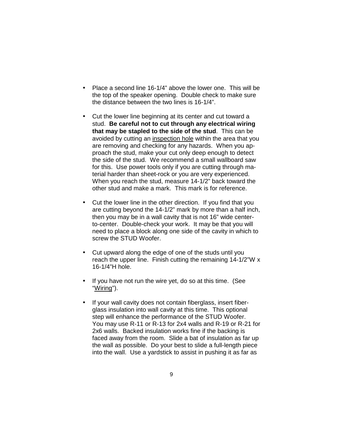- Place a second line 16-1/4" above the lower one. This will be the top of the speaker opening. Double check to make sure the distance between the two lines is 16-1/4".
- Cut the lower line beginning at its center and cut toward a stud. **Be careful not to cut through any electrical wiring that may be stapled to the side of the stud**. This can be avoided by cutting an inspection hole within the area that you are removing and checking for any hazards. When you approach the stud, make your cut only deep enough to detect the side of the stud. We recommend a small wallboard saw for this. Use power tools only if you are cutting through material harder than sheet-rock or you are very experienced. When you reach the stud, measure 14-1/2" back toward the other stud and make a mark. This mark is for reference.
- Cut the lower line in the other direction. If you find that you are cutting beyond the 14-1/2" mark by more than a half inch, then you may be in a wall cavity that is not 16" wide centerto-center. Double-check your work. It may be that you will need to place a block along one side of the cavity in which to screw the STUD Woofer.
- Cut upward along the edge of one of the studs until you reach the upper line. Finish cutting the remaining 14-1/2"W x 16-1/4"H hole.
- If you have not run the wire yet, do so at this time. (See "Wiring").
- If your wall cavity does not contain fiberglass, insert fiberglass insulation into wall cavity at this time. This optional step will enhance the performance of the STUD Woofer. You may use R-11 or R-13 for 2x4 walls and R-19 or R-21 for 2x6 walls. Backed insulation works fine if the backing is faced away from the room. Slide a bat of insulation as far up the wall as possible. Do your best to slide a full-length piece into the wall. Use a yardstick to assist in pushing it as far as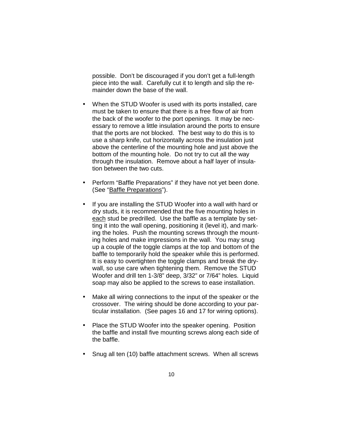possible. Don't be discouraged if you don't get a full-length piece into the wall. Carefully cut it to length and slip the remainder down the base of the wall.

- When the STUD Woofer is used with its ports installed, care must be taken to ensure that there is a free flow of air from the back of the woofer to the port openings. It may be necessary to remove a little insulation around the ports to ensure that the ports are not blocked. The best way to do this is to use a sharp knife, cut horizontally across the insulation just above the centerline of the mounting hole and just above the bottom of the mounting hole. Do not try to cut all the way through the insulation. Remove about a half layer of insulation between the two cuts.
- Perform "Baffle Preparations" if they have not yet been done. (See "Baffle Preparations").
- If you are installing the STUD Woofer into a wall with hard or dry studs, it is recommended that the five mounting holes in each stud be predrilled. Use the baffle as a template by setting it into the wall opening, positioning it (level it), and marking the holes. Push the mounting screws through the mounting holes and make impressions in the wall. You may snug up a couple of the toggle clamps at the top and bottom of the baffle to temporarily hold the speaker while this is performed. It is easy to overtighten the toggle clamps and break the drywall, so use care when tightening them. Remove the STUD Woofer and drill ten 1-3/8" deep, 3/32" or 7/64" holes. Liquid soap may also be applied to the screws to ease installation.
- Make all wiring connections to the input of the speaker or the crossover. The wiring should be done according to your particular installation. (See pages 16 and 17 for wiring options).
- Place the STUD Woofer into the speaker opening. Position the baffle and install five mounting screws along each side of the baffle.
- Snug all ten (10) baffle attachment screws. When all screws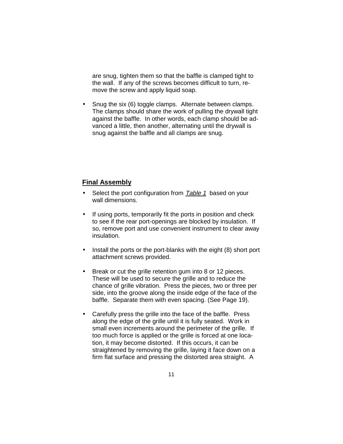are snug, tighten them so that the baffle is clamped tight to the wall. If any of the screws becomes difficult to turn, remove the screw and apply liquid soap.

• Snug the six (6) toggle clamps. Alternate between clamps. The clamps should share the work of pulling the drywall tight against the baffle. In other words, each clamp should be advanced a little, then another, alternating until the drywall is snug against the baffle and all clamps are snug.

### **Final Assembly**

- Select the port configuration from Table 1 based on your wall dimensions.
- If using ports, temporarily fit the ports in position and check to see if the rear port-openings are blocked by insulation. If so, remove port and use convenient instrument to clear away insulation.
- Install the ports or the port-blanks with the eight (8) short port attachment screws provided.
- Break or cut the grille retention gum into 8 or 12 pieces. These will be used to secure the grille and to reduce the chance of grille vibration. Press the pieces, two or three per side, into the groove along the inside edge of the face of the baffle. Separate them with even spacing. (See Page 19).
- Carefully press the grille into the face of the baffle. Press along the edge of the grille until it is fully seated. Work in small even increments around the perimeter of the grille. If too much force is applied or the grille is forced at one location, it may become distorted. If this occurs, it can be straightened by removing the grille, laying it face down on a firm flat surface and pressing the distorted area straight. A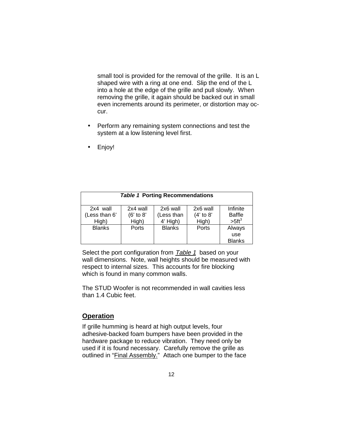small tool is provided for the removal of the grille. It is an L shaped wire with a ring at one end. Slip the end of the L into a hole at the edge of the grille and pull slowly. When removing the grille, it again should be backed out in small even increments around its perimeter, or distortion may occur.

- Perform any remaining system connections and test the system at a low listening level first.
- Enjoy!

| <b>Table 1 Porting Recommendations</b> |               |               |             |               |
|----------------------------------------|---------------|---------------|-------------|---------------|
| 2x4 wall                               | 2x4 wall      | 2x6 wall      | 2x6 wall    | Infinite      |
| (Less than 6'                          | $(6'$ to $8'$ | (Less than    | $(4'$ to 8' | <b>Baffle</b> |
| High)                                  | High)         | 4' High)      | High)       | $>5 ft^3$     |
| <b>Blanks</b>                          | Ports         | <b>Blanks</b> | Ports       | Always        |
|                                        |               |               |             | use           |
|                                        |               |               |             | <b>Blanks</b> |

Select the port configuration from Table 1 based on your wall dimensions. Note, wall heights should be measured with respect to internal sizes. This accounts for fire blocking which is found in many common walls.

The STUD Woofer is not recommended in wall cavities less than 1.4 Cubic feet.

#### **Operation**

If grille humming is heard at high output levels, four adhesive-backed foam bumpers have been provided in the hardware package to reduce vibration. They need only be used if it is found necessary. Carefully remove the grille as outlined in "Final Assembly." Attach one bumper to the face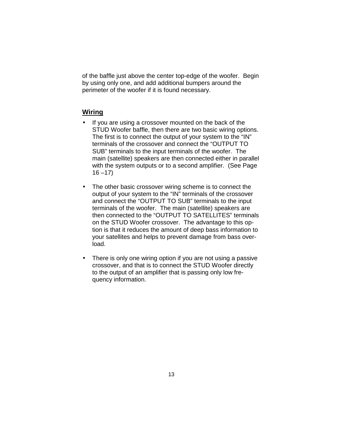of the baffle just above the center top-edge of the woofer. Begin by using only one, and add additional bumpers around the perimeter of the woofer if it is found necessary.

# **Wiring**

- If you are using a crossover mounted on the back of the STUD Woofer baffle, then there are two basic wiring options. The first is to connect the output of your system to the "IN" terminals of the crossover and connect the "OUTPUT TO SUB" terminals to the input terminals of the woofer. The main (satellite) speakers are then connected either in parallel with the system outputs or to a second amplifier. (See Page  $16 - 17$ )
- The other basic crossover wiring scheme is to connect the output of your system to the "IN" terminals of the crossover and connect the "OUTPUT TO SUB" terminals to the input terminals of the woofer. The main (satellite) speakers are then connected to the "OUTPUT TO SATELLITES" terminals on the STUD Woofer crossover. The advantage to this option is that it reduces the amount of deep bass information to your satellites and helps to prevent damage from bass overload.
- There is only one wiring option if you are not using a passive crossover, and that is to connect the STUD Woofer directly to the output of an amplifier that is passing only low frequency information.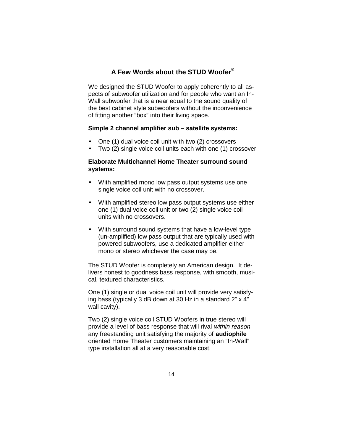# **A Few Words about the STUD Woofer®**

We designed the STUD Woofer to apply coherently to all aspects of subwoofer utilization and for people who want an In-Wall subwoofer that is a near equal to the sound quality of the best cabinet style subwoofers without the inconvenience of fitting another "box" into their living space.

#### **Simple 2 channel amplifier sub – satellite systems:**

- One (1) dual voice coil unit with two (2) crossovers
- Two (2) single voice coil units each with one (1) crossover

# **Elaborate Multichannel Home Theater surround sound systems:**

- With amplified mono low pass output systems use one single voice coil unit with no crossover.
- With amplified stereo low pass output systems use either one (1) dual voice coil unit or two (2) single voice coil units with no crossovers.
- With surround sound systems that have a low-level type (un-amplified) low pass output that are typically used with powered subwoofers, use a dedicated amplifier either mono or stereo whichever the case may be.

The STUD Woofer is completely an American design. It delivers honest to goodness bass response, with smooth, musical, textured characteristics.

One (1) single or dual voice coil unit will provide very satisfying bass (typically 3 dB down at 30 Hz in a standard 2" x 4" wall cavity).

Two (2) single voice coil STUD Woofers in true stereo will provide a level of bass response that will rival within reason any freestanding unit satisfying the majority of **audiophile** oriented Home Theater customers maintaining an "In-Wall" type installation all at a very reasonable cost.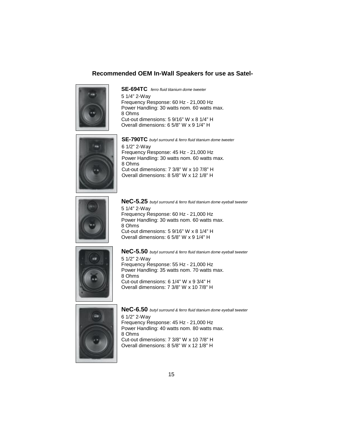# **Recommended OEM In-Wall Speakers for use as Satel-**



**SE-694TC** ferro fluid titanium dome tweeter 5 1/4" 2-Way Frequency Response: 60 Hz - 21,000 Hz Power Handling: 30 watts nom. 60 watts max. 8 Ohms Cut-out dimensions: 5 9/16" W x 8 1/4" H Overall dimensions: 6 5/8" W x 9 1/4" H



**SE-790TC** butyl surround & ferro fluid titanium dome tweeter 6 1/2" 2-Way Frequency Response: 45 Hz - 21,000 Hz Power Handling: 30 watts nom. 60 watts max. 8 Ohms Cut-out dimensions: 7 3/8" W x 10 7/8" H Overall dimensions: 8 5/8" W x 12 1/8" H



5 1/4" 2-Way Frequency Response: 60 Hz - 21,000 Hz Power Handling: 30 watts nom. 60 watts max. 8 Ohms Cut-out dimensions: 5 9/16" W x 8 1/4" H Overall dimensions: 6 5/8" W x 9 1/4" H **NeC-5.25** butyl surround & ferro fluid titanium dome eyeball tweeter



**NeC-5.50** butyl surround & ferro fluid titanium dome eyeball tweeter 5 1/2" 2-Way Frequency Response: 55 Hz - 21,000 Hz Power Handling: 35 watts nom. 70 watts max. 8 Ohms Cut-out dimensions: 6 1/4" W x 9 3/4" H Overall dimensions: 7 3/8" W x 10 7/8" H



**NeC-6.50** butyl surround & ferro fluid titanium dome eyeball tweeter 6 1/2" 2-Way Frequency Response: 45 Hz - 21,000 Hz Power Handling: 40 watts nom. 80 watts max. 8 Ohms Cut-out dimensions: 7 3/8" W x 10 7/8" H Overall dimensions: 8 5/8" W x 12 1/8" H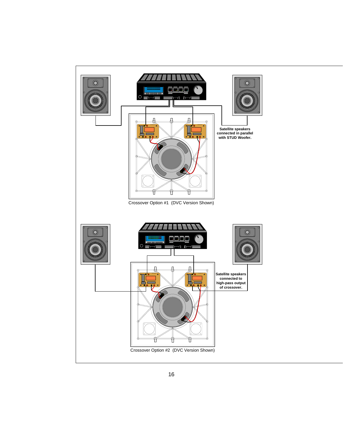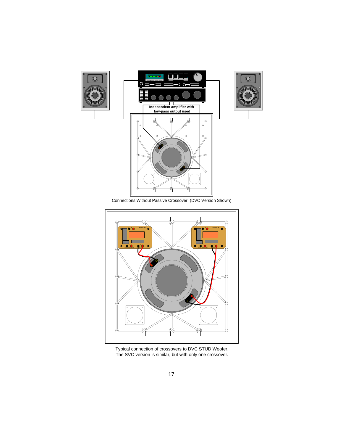

Connections Without Passive Crossover (DVC Version Shown)



Typical connection of crossovers to DVC STUD Woofer. The SVC version is similar, but with only one crossover.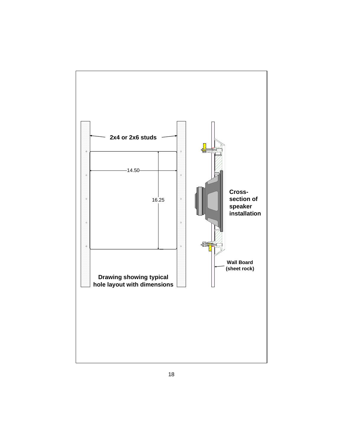